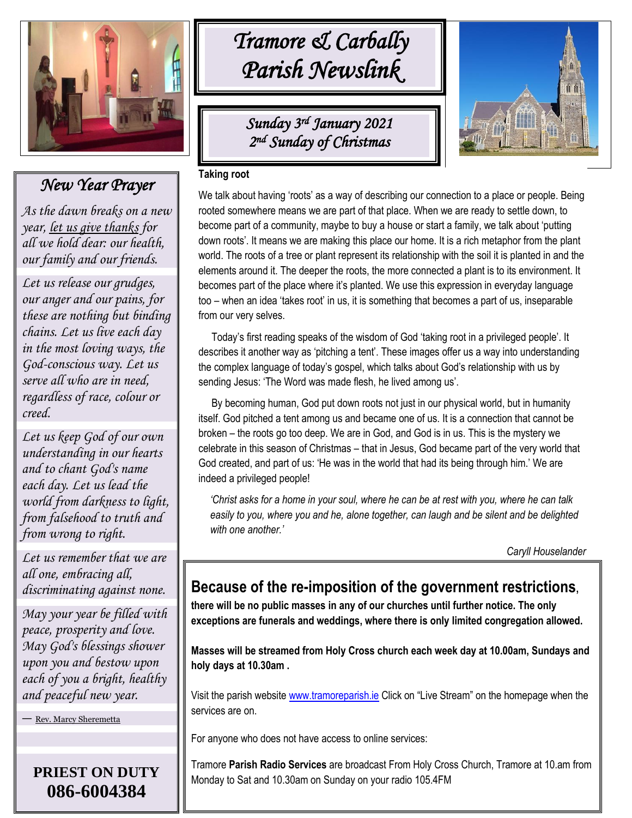

# *New Year Prayer*

*As the dawn breaks on a new year, [let us give thanks](https://www.xavier.edu/jesuitresource/online-resources/prayer-index/new-years-prayers) for all we hold dear: our health, our family and our friends.*

` *creed. Let us release our grudges, our anger and our pains, for these are nothing but binding chains. Let us live each day in the most loving ways, the God-conscious way. Let us serve all who are in need, regardless of race, colour or* 

*Let us keep God of our own understanding in our hearts and to chant God's name each day. Let us lead the world from darkness to light, from falsehood to truth and from wrong to right.*

*Let us remember that we are all one, embracing all, discriminating against none.*

*May your year be filled with peace, prosperity and love. May God's blessings shower upon you and bestow upon each of you a bright, healthy and peaceful new year.*

— [Rev. Marcy Sheremetta](https://www.xavier.edu/jesuitresource/online-resources/prayer-index/new-years-prayers)

**PRIEST ON DUTY 086-6004384**

# *Tramore & Carbally Parish Newslink*

*Sunday 3 rd January 2021 2 nd Sunday of Christmas* 



## **Taking root**

We talk about having 'roots' as a way of describing our connection to a place or people. Being rooted somewhere means we are part of that place. When we are ready to settle down, to become part of a community, maybe to buy a house or start a family, we talk about 'putting down roots'. It means we are making this place our home. It is a rich metaphor from the plant world. The roots of a tree or plant represent its relationship with the soil it is planted in and the elements around it. The deeper the roots, the more connected a plant is to its environment. It becomes part of the place where it's planted. We use this expression in everyday language too – when an idea 'takes root' in us, it is something that becomes a part of us, inseparable from our very selves.

 Today's first reading speaks of the wisdom of God 'taking root in a privileged people'. It describes it another way as 'pitching a tent'. These images offer us a way into understanding the complex language of today's gospel, which talks about God's relationship with us by sending Jesus: 'The Word was made flesh, he lived among us'.

 By becoming human, God put down roots not just in our physical world, but in humanity itself. God pitched a tent among us and became one of us. It is a connection that cannot be broken – the roots go too deep. We are in God, and God is in us. This is the mystery we celebrate in this season of Christmas – that in Jesus, God became part of the very world that God created, and part of us: 'He was in the world that had its being through him.' We are indeed a privileged people!

*'Christ asks for a home in your soul, where he can be at rest with you, where he can talk*  easily to you, where you and he, alone together, can laugh and be silent and be delighted *with one another.'*

*Caryll Houselander*

# **Because of the re-imposition of the government restrictions,**

**there will be no public masses in any of our churches until further notice. The only exceptions are funerals and weddings, where there is only limited congregation allowed.**

**Masses will be streamed from Holy Cross church each week day at 10.00am, Sundays and holy days at 10.30am .**

Visit the parish website [www.tramoreparish.ie](http://www.tramoreparish.ie/) Click on "Live Stream" on the homepage when the services are on.

For anyone who does not have access to online services:

Tramore **Parish Radio Services** are broadcast From Holy Cross Church, Tramore at 10.am from Monday to Sat and 10.30am on Sunday on your radio 105.4FM